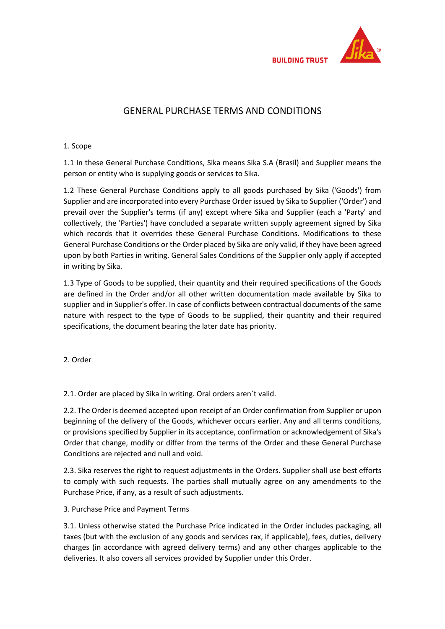

## GENERAL PURCHASE TERMS AND CONDITIONS

## 1. Scope

1.1 In these General Purchase Conditions, Sika means Sika S.A (Brasil) and Supplier means the person or entity who is supplying goods or services to Sika.

1.2 These General Purchase Conditions apply to all goods purchased by Sika ('Goods') from Supplier and are incorporated into every Purchase Order issued by Sika to Supplier ('Order') and prevail over the Supplier's terms (if any) except where Sika and Supplier (each a 'Party' and collectively, the 'Parties') have concluded a separate written supply agreement signed by Sika which records that it overrides these General Purchase Conditions. Modifications to these General Purchase Conditions or the Order placed by Sika are only valid, if they have been agreed upon by both Parties in writing. General Sales Conditions of the Supplier only apply if accepted in writing by Sika.

1.3 Type of Goods to be supplied, their quantity and their required specifications of the Goods are defined in the Order and/or all other written documentation made available by Sika to supplier and in Supplier's offer. In case of conflicts between contractual documents of the same nature with respect to the type of Goods to be supplied, their quantity and their required specifications, the document bearing the later date has priority.

2. Order

2.1. Order are placed by Sika in writing. Oral orders aren`t valid.

2.2. The Order is deemed accepted upon receipt of an Order confirmation from Supplier or upon beginning of the delivery of the Goods, whichever occurs earlier. Any and all terms conditions, or provisions specified by Supplier in its acceptance, confirmation or acknowledgement of Sika's Order that change, modify or differ from the terms of the Order and these General Purchase Conditions are rejected and null and void.

2.3. Sika reserves the right to request adjustments in the Orders. Supplier shall use best efforts to comply with such requests. The parties shall mutually agree on any amendments to the Purchase Price, if any, as a result of such adjustments.

3. Purchase Price and Payment Terms

3.1. Unless otherwise stated the Purchase Price indicated in the Order includes packaging, all taxes (but with the exclusion of any goods and services rax, if applicable), fees, duties, delivery charges (in accordance with agreed delivery terms) and any other charges applicable to the deliveries. It also covers all services provided by Supplier under this Order.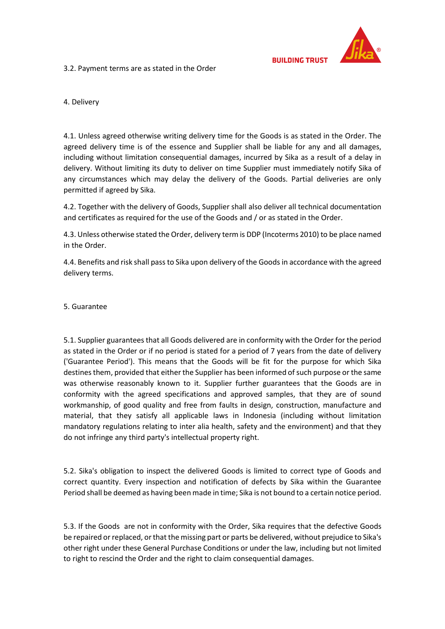

3.2. Payment terms are as stated in the Order

4. Delivery

4.1. Unless agreed otherwise writing delivery time for the Goods is as stated in the Order. The agreed delivery time is of the essence and Supplier shall be liable for any and all damages, including without limitation consequential damages, incurred by Sika as a result of a delay in delivery. Without limiting its duty to deliver on time Supplier must immediately notify Sika of any circumstances which may delay the delivery of the Goods. Partial deliveries are only permitted if agreed by Sika.

4.2. Together with the delivery of Goods, Supplier shall also deliver all technical documentation and certificates as required for the use of the Goods and / or as stated in the Order.

4.3. Unless otherwise stated the Order, delivery term is DDP (Incoterms 2010) to be place named in the Order.

4.4. Benefits and risk shall pass to Sika upon delivery of the Goods in accordance with the agreed delivery terms.

5. Guarantee

5.1. Supplier guarantees that all Goods delivered are in conformity with the Order for the period as stated in the Order or if no period is stated for a period of 7 years from the date of delivery ('Guarantee Period'). This means that the Goods will be fit for the purpose for which Sika destines them, provided that either the Supplier has been informed of such purpose or the same was otherwise reasonably known to it. Supplier further guarantees that the Goods are in conformity with the agreed specifications and approved samples, that they are of sound workmanship, of good quality and free from faults in design, construction, manufacture and material, that they satisfy all applicable laws in Indonesia (including without limitation mandatory regulations relating to inter alia health, safety and the environment) and that they do not infringe any third party's intellectual property right.

5.2. Sika's obligation to inspect the delivered Goods is limited to correct type of Goods and correct quantity. Every inspection and notification of defects by Sika within the Guarantee Period shall be deemed as having been made in time; Sika is not bound to a certain notice period.

5.3. If the Goods are not in conformity with the Order, Sika requires that the defective Goods be repaired or replaced, or that the missing part or parts be delivered, without prejudice to Sika's other right under these General Purchase Conditions or under the law, including but not limited to right to rescind the Order and the right to claim consequential damages.